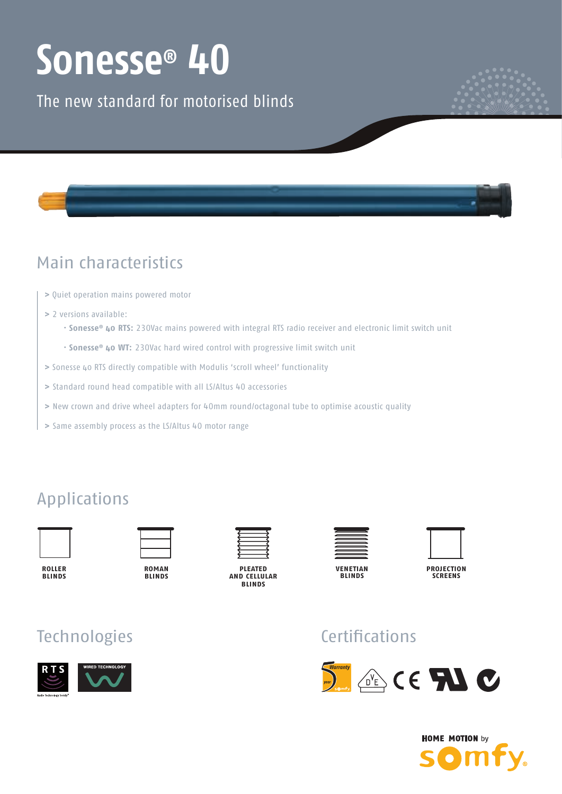# **Sonesse® 40**

The new standard for motorised blinds



# Main characteristics

- **>** Quiet operation mains powered motor
- **>** 2 versions available:
- **Sonesse® 40 RTS:** 230Vac mains powered with integral RTS radio receiver and electronic limit switch unit
- **Sonesse® 40 WT:** 230Vac hard wired control with progressive limit switch unit
- **>** Sonesse 40 RTS directly compatible with Modulis 'scroll wheel' functionality
- **>** Standard round head compatible with all LS/Altus 40 accessories
- **>** New crown and drive wheel adapters for 40mm round/octagonal tube to optimise acoustic quality
- **>** Same assembly process as the LS/Altus 40 motor range

# Applications



**roller blinds**



**blinds**



**pleated and cellular blinds**



**venetian blinds**